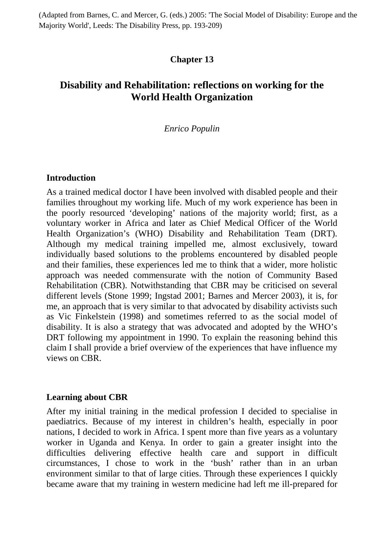(Adapted from Barnes, C. and Mercer, G. (eds.) 2005: 'The Social Model of Disability: Europe and the Majority World', Leeds: The Disability Press, pp. 193-209)

## **Chapter 13**

# **Disability and Rehabilitation: reflections on working for the World Health Organization**

### *Enrico Populin*

### **Introduction**

As a trained medical doctor I have been involved with disabled people and their families throughout my working life. Much of my work experience has been in the poorly resourced 'developing' nations of the majority world; first, as a voluntary worker in Africa and later as Chief Medical Officer of the World Health Organization's (WHO) Disability and Rehabilitation Team (DRT). Although my medical training impelled me, almost exclusively, toward individually based solutions to the problems encountered by disabled people and their families, these experiences led me to think that a wider, more holistic approach was needed commensurate with the notion of Community Based Rehabilitation (CBR). Notwithstanding that CBR may be criticised on several different levels (Stone 1999; Ingstad 2001; Barnes and Mercer 2003), it is, for me, an approach that is very similar to that advocated by disability activists such as Vic Finkelstein (1998) and sometimes referred to as the social model of disability. It is also a strategy that was advocated and adopted by the WHO's DRT following my appointment in 1990. To explain the reasoning behind this claim I shall provide a brief overview of the experiences that have influence my views on CBR.

#### **Learning about CBR**

After my initial training in the medical profession I decided to specialise in paediatrics. Because of my interest in children's health, especially in poor nations, I decided to work in Africa. I spent more than five years as a voluntary worker in Uganda and Kenya. In order to gain a greater insight into the difficulties delivering effective health care and support in difficult circumstances, I chose to work in the 'bush' rather than in an urban environment similar to that of large cities. Through these experiences I quickly became aware that my training in western medicine had left me ill-prepared for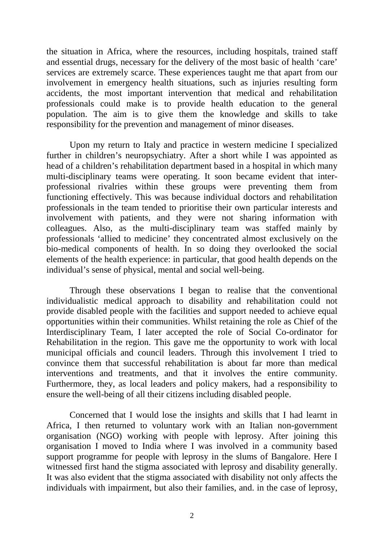the situation in Africa, where the resources, including hospitals, trained staff and essential drugs, necessary for the delivery of the most basic of health 'care' services are extremely scarce. These experiences taught me that apart from our involvement in emergency health situations, such as injuries resulting form accidents, the most important intervention that medical and rehabilitation professionals could make is to provide health education to the general population. The aim is to give them the knowledge and skills to take responsibility for the prevention and management of minor diseases.

Upon my return to Italy and practice in western medicine I specialized further in children's neuropsychiatry. After a short while I was appointed as head of a children's rehabilitation department based in a hospital in which many multi-disciplinary teams were operating. It soon became evident that interprofessional rivalries within these groups were preventing them from functioning effectively. This was because individual doctors and rehabilitation professionals in the team tended to prioritise their own particular interests and involvement with patients, and they were not sharing information with colleagues. Also, as the multi-disciplinary team was staffed mainly by professionals 'allied to medicine' they concentrated almost exclusively on the bio-medical components of health. In so doing they overlooked the social elements of the health experience: in particular, that good health depends on the individual's sense of physical, mental and social well-being.

Through these observations I began to realise that the conventional individualistic medical approach to disability and rehabilitation could not provide disabled people with the facilities and support needed to achieve equal opportunities within their communities. Whilst retaining the role as Chief of the Interdisciplinary Team, I later accepted the role of Social Co-ordinator for Rehabilitation in the region. This gave me the opportunity to work with local municipal officials and council leaders. Through this involvement I tried to convince them that successful rehabilitation is about far more than medical interventions and treatments, and that it involves the entire community. Furthermore, they, as local leaders and policy makers, had a responsibility to ensure the well-being of all their citizens including disabled people.

Concerned that I would lose the insights and skills that I had learnt in Africa, I then returned to voluntary work with an Italian non-government organisation (NGO) working with people with leprosy. After joining this organisation I moved to India where I was involved in a community based support programme for people with leprosy in the slums of Bangalore. Here I witnessed first hand the stigma associated with leprosy and disability generally. It was also evident that the stigma associated with disability not only affects the individuals with impairment, but also their families, and. in the case of leprosy,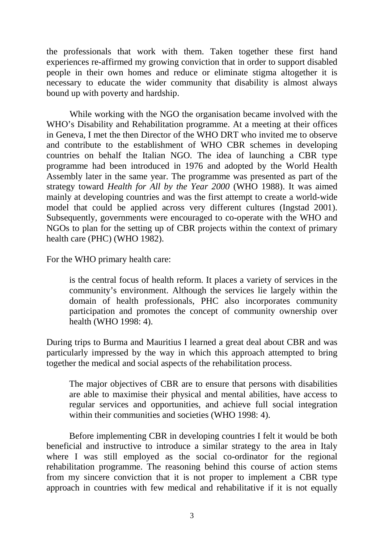the professionals that work with them. Taken together these first hand experiences re-affirmed my growing conviction that in order to support disabled people in their own homes and reduce or eliminate stigma altogether it is necessary to educate the wider community that disability is almost always bound up with poverty and hardship.

While working with the NGO the organisation became involved with the WHO's Disability and Rehabilitation programme. At a meeting at their offices in Geneva, I met the then Director of the WHO DRT who invited me to observe and contribute to the establishment of WHO CBR schemes in developing countries on behalf the Italian NGO. The idea of launching a CBR type programme had been introduced in 1976 and adopted by the World Health Assembly later in the same year. The programme was presented as part of the strategy toward *Health for All by the Year 2000* (WHO 1988). It was aimed mainly at developing countries and was the first attempt to create a world-wide model that could be applied across very different cultures (Ingstad 2001). Subsequently, governments were encouraged to co-operate with the WHO and NGOs to plan for the setting up of CBR projects within the context of primary health care (PHC) (WHO 1982).

For the WHO primary health care:

is the central focus of health reform. It places a variety of services in the community's environment. Although the services lie largely within the domain of health professionals, PHC also incorporates community participation and promotes the concept of community ownership over health (WHO 1998: 4).

During trips to Burma and Mauritius I learned a great deal about CBR and was particularly impressed by the way in which this approach attempted to bring together the medical and social aspects of the rehabilitation process.

The major objectives of CBR are to ensure that persons with disabilities are able to maximise their physical and mental abilities, have access to regular services and opportunities, and achieve full social integration within their communities and societies (WHO 1998: 4).

Before implementing CBR in developing countries I felt it would be both beneficial and instructive to introduce a similar strategy to the area in Italy where I was still employed as the social co-ordinator for the regional rehabilitation programme. The reasoning behind this course of action stems from my sincere conviction that it is not proper to implement a CBR type approach in countries with few medical and rehabilitative if it is not equally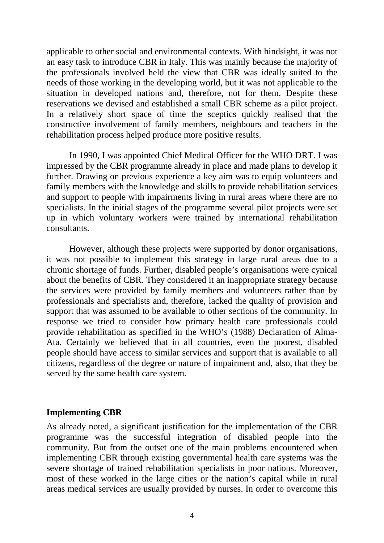applicable to other social and environmental contexts. With hindsight, it was not an easy task to introduce CBR in Italy. This was mainly because the majority of the professionals involved held the view that CBR was ideally suited to the needs of those working in the developing world, but it was not applicable to the situation in developed nations and, therefore, not for them. Despite these reservations we devised and established a small CBR scheme as a pilot project. In a relatively short space of time the sceptics quickly realised that the constructive involvement of family members, neighbours and teachers in the rehabilitation process helped produce more positive results.

In 1990, I was appointed Chief Medical Officer for the WHO DRT. I was impressed by the CBR programme already in place and made plans to develop it further. Drawing on previous experience a key aim was to equip volunteers and family members with the knowledge and skills to provide rehabilitation services and support to people with impairments living in rural areas where there are no specialists. In the initial stages of the programme several pilot projects were set up in which voluntary workers were trained by international rehabilitation consultants.

However, although these projects were supported by donor organisations, it was not possible to implement this strategy in large rural areas due to a chronic shortage of funds. Further, disabled people's organisations were cynical about the benefits of CBR. They considered it an inappropriate strategy because the services were provided by family members and volunteers rather than by professionals and specialists and, therefore, lacked the quality of provision and support that was assumed to be available to other sections of the community. In response we tried to consider how primary health care professionals could provide rehabilitation as specified in the WHO's (1988) Declaration of Alma-Ata. Certainly we believed that in all countries, even the poorest, disabled people should have access to similar services and support that is available to all citizens, regardless of the degree or nature of impairment and, also, that they be served by the same health care system.

#### **Implementing CBR**

As already noted, a significant justification for the implementation of the CBR programme was the successful integration of disabled people into the community. But from the outset one of the main problems encountered when implementing CBR through existing governmental health care systems was the severe shortage of trained rehabilitation specialists in poor nations. Moreover, most of these worked in the large cities or the nation's capital while in rural areas medical services are usually provided by nurses. In order to overcome this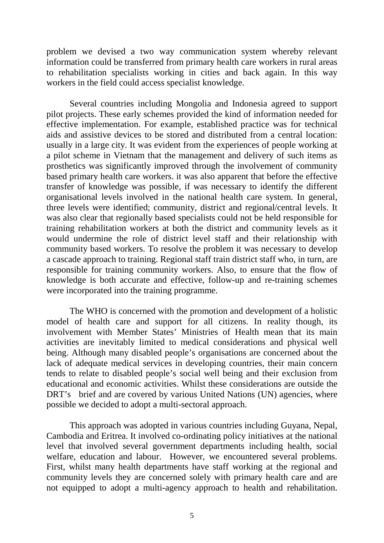problem we devised a two way communication system whereby relevant information could be transferred from primary health care workers in rural areas to rehabilitation specialists working in cities and back again. In this way workers in the field could access specialist knowledge.

Several countries including Mongolia and Indonesia agreed to support pilot projects. These early schemes provided the kind of information needed for effective implementation. For example, established practice was for technical aids and assistive devices to be stored and distributed from a central location: usually in a large city. It was evident from the experiences of people working at a pilot scheme in Vietnam that the management and delivery of such items as prosthetics was significantly improved through the involvement of community based primary health care workers. it was also apparent that before the effective transfer of knowledge was possible, if was necessary to identify the different organisational levels involved in the national health care system. In general, three levels were identified; community, district and regional/central levels. It was also clear that regionally based specialists could not be held responsible for training rehabilitation workers at both the district and community levels as it would undermine the role of district level staff and their relationship with community based workers. To resolve the problem it was necessary to develop a cascade approach to training. Regional staff train district staff who, in turn, are responsible for training community workers. Also, to ensure that the flow of knowledge is both accurate and effective, follow-up and re-training schemes were incorporated into the training programme.

The WHO is concerned with the promotion and development of a holistic model of health care and support for all citizens. In reality though, its involvement with Member States' Ministries of Health mean that its main activities are inevitably limited to medical considerations and physical well being. Although many disabled people's organisations are concerned about the lack of adequate medical services in developing countries, their main concern tends to relate to disabled people's social well being and their exclusion from educational and economic activities. Whilst these considerations are outside the DRT's brief and are covered by various United Nations (UN) agencies, where possible we decided to adopt a multi-sectoral approach.

This approach was adopted in various countries including Guyana, Nepal, Cambodia and Eritrea. It involved co-ordinating policy initiatives at the national level that involved several government departments including health, social welfare, education and labour. However, we encountered several problems. First, whilst many health departments have staff working at the regional and community levels they are concerned solely with primary health care and are not equipped to adopt a multi-agency approach to health and rehabilitation.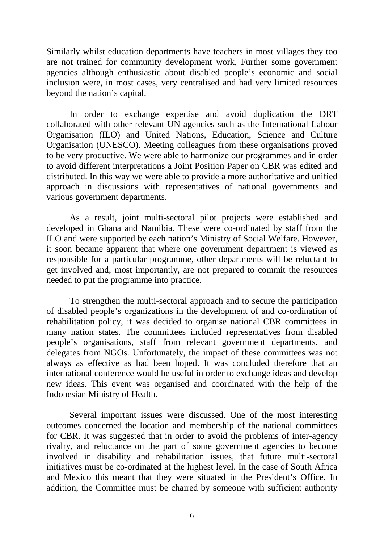Similarly whilst education departments have teachers in most villages they too are not trained for community development work, Further some government agencies although enthusiastic about disabled people's economic and social inclusion were, in most cases, very centralised and had very limited resources beyond the nation's capital.

In order to exchange expertise and avoid duplication the DRT collaborated with other relevant UN agencies such as the International Labour Organisation (ILO) and United Nations, Education, Science and Culture Organisation (UNESCO). Meeting colleagues from these organisations proved to be very productive. We were able to harmonize our programmes and in order to avoid different interpretations a Joint Position Paper on CBR was edited and distributed. In this way we were able to provide a more authoritative and unified approach in discussions with representatives of national governments and various government departments.

As a result, joint multi-sectoral pilot projects were established and developed in Ghana and Namibia. These were co-ordinated by staff from the ILO and were supported by each nation's Ministry of Social Welfare. However, it soon became apparent that where one government department is viewed as responsible for a particular programme, other departments will be reluctant to get involved and, most importantly, are not prepared to commit the resources needed to put the programme into practice.

To strengthen the multi-sectoral approach and to secure the participation of disabled people's organizations in the development of and co-ordination of rehabilitation policy, it was decided to organise national CBR committees in many nation states. The committees included representatives from disabled people's organisations, staff from relevant government departments, and delegates from NGOs. Unfortunately, the impact of these committees was not always as effective as had been hoped. It was concluded therefore that an international conference would be useful in order to exchange ideas and develop new ideas. This event was organised and coordinated with the help of the Indonesian Ministry of Health.

Several important issues were discussed. One of the most interesting outcomes concerned the location and membership of the national committees for CBR. It was suggested that in order to avoid the problems of inter-agency rivalry, and reluctance on the part of some government agencies to become involved in disability and rehabilitation issues, that future multi-sectoral initiatives must be co-ordinated at the highest level. In the case of South Africa and Mexico this meant that they were situated in the President's Office. In addition, the Committee must be chaired by someone with sufficient authority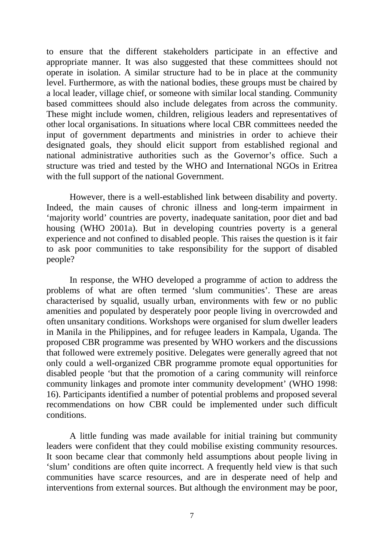to ensure that the different stakeholders participate in an effective and appropriate manner. It was also suggested that these committees should not operate in isolation. A similar structure had to be in place at the community level. Furthermore, as with the national bodies, these groups must be chaired by a local leader, village chief, or someone with similar local standing. Community based committees should also include delegates from across the community. These might include women, children, religious leaders and representatives of other local organisations. In situations where local CBR committees needed the input of government departments and ministries in order to achieve their designated goals, they should elicit support from established regional and national administrative authorities such as the Governor's office. Such a structure was tried and tested by the WHO and International NGOs in Eritrea with the full support of the national Government.

However, there is a well-established link between disability and poverty. Indeed, the main causes of chronic illness and long-term impairment in 'majority world' countries are poverty, inadequate sanitation, poor diet and bad housing (WHO 2001a). But in developing countries poverty is a general experience and not confined to disabled people. This raises the question is it fair to ask poor communities to take responsibility for the support of disabled people?

In response, the WHO developed a programme of action to address the problems of what are often termed 'slum communities'. These are areas characterised by squalid, usually urban, environments with few or no public amenities and populated by desperately poor people living in overcrowded and often unsanitary conditions. Workshops were organised for slum dweller leaders in Manila in the Philippines, and for refugee leaders in Kampala, Uganda. The proposed CBR programme was presented by WHO workers and the discussions that followed were extremely positive. Delegates were generally agreed that not only could a well-organized CBR programme promote equal opportunities for disabled people 'but that the promotion of a caring community will reinforce community linkages and promote inter community development' (WHO 1998: 16). Participants identified a number of potential problems and proposed several recommendations on how CBR could be implemented under such difficult conditions.

A little funding was made available for initial training but community leaders were confident that they could mobilise existing community resources. It soon became clear that commonly held assumptions about people living in 'slum' conditions are often quite incorrect. A frequently held view is that such communities have scarce resources, and are in desperate need of help and interventions from external sources. But although the environment may be poor,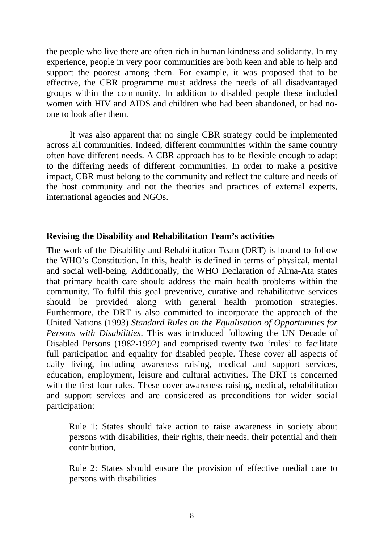the people who live there are often rich in human kindness and solidarity. In my experience, people in very poor communities are both keen and able to help and support the poorest among them. For example, it was proposed that to be effective, the CBR programme must address the needs of all disadvantaged groups within the community. In addition to disabled people these included women with HIV and AIDS and children who had been abandoned, or had noone to look after them.

It was also apparent that no single CBR strategy could be implemented across all communities. Indeed, different communities within the same country often have different needs. A CBR approach has to be flexible enough to adapt to the differing needs of different communities. In order to make a positive impact, CBR must belong to the community and reflect the culture and needs of the host community and not the theories and practices of external experts, international agencies and NGOs.

### **Revising the Disability and Rehabilitation Team's activities**

The work of the Disability and Rehabilitation Team (DRT) is bound to follow the WHO's Constitution. In this, health is defined in terms of physical, mental and social well-being. Additionally, the WHO Declaration of Alma-Ata states that primary health care should address the main health problems within the community. To fulfil this goal preventive, curative and rehabilitative services should be provided along with general health promotion strategies. Furthermore, the DRT is also committed to incorporate the approach of the United Nations (1993) *Standard Rules on the Equalisation of Opportunities for Persons with Disabilities*. This was introduced following the UN Decade of Disabled Persons (1982-1992) and comprised twenty two 'rules' to facilitate full participation and equality for disabled people. These cover all aspects of daily living, including awareness raising, medical and support services, education, employment, leisure and cultural activities. The DRT is concerned with the first four rules. These cover awareness raising, medical, rehabilitation and support services and are considered as preconditions for wider social participation:

Rule 1: States should take action to raise awareness in society about persons with disabilities, their rights, their needs, their potential and their contribution,

Rule 2: States should ensure the provision of effective medial care to persons with disabilities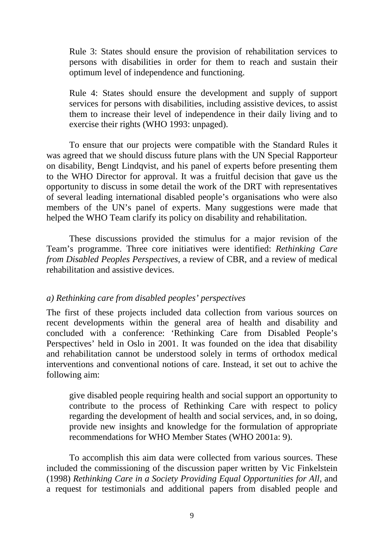Rule 3: States should ensure the provision of rehabilitation services to persons with disabilities in order for them to reach and sustain their optimum level of independence and functioning.

Rule 4: States should ensure the development and supply of support services for persons with disabilities, including assistive devices, to assist them to increase their level of independence in their daily living and to exercise their rights (WHO 1993: unpaged).

To ensure that our projects were compatible with the Standard Rules it was agreed that we should discuss future plans with the UN Special Rapporteur on disability, Bengt Lindqvist, and his panel of experts before presenting them to the WHO Director for approval. It was a fruitful decision that gave us the opportunity to discuss in some detail the work of the DRT with representatives of several leading international disabled people's organisations who were also members of the UN's panel of experts. Many suggestions were made that helped the WHO Team clarify its policy on disability and rehabilitation.

These discussions provided the stimulus for a major revision of the Team's programme. Three core initiatives were identified: *Rethinking Care from Disabled Peoples Perspectives*, a review of CBR, and a review of medical rehabilitation and assistive devices.

#### *a) Rethinking care from disabled peoples' perspectives*

The first of these projects included data collection from various sources on recent developments within the general area of health and disability and concluded with a conference: 'Rethinking Care from Disabled People's Perspectives' held in Oslo in 2001. It was founded on the idea that disability and rehabilitation cannot be understood solely in terms of orthodox medical interventions and conventional notions of care. Instead, it set out to achive the following aim:

give disabled people requiring health and social support an opportunity to contribute to the process of Rethinking Care with respect to policy regarding the development of health and social services, and, in so doing, provide new insights and knowledge for the formulation of appropriate recommendations for WHO Member States (WHO 2001a: 9).

To accomplish this aim data were collected from various sources. These included the commissioning of the discussion paper written by Vic Finkelstein (1998) *Rethinking Care in a Society Providing Equal Opportunities for All*, and a request for testimonials and additional papers from disabled people and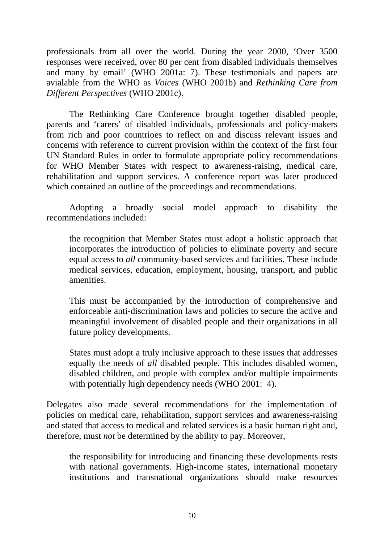professionals from all over the world. During the year 2000, 'Over 3500 responses were received, over 80 per cent from disabled individuals themselves and many by email' (WHO 2001a: 7). These testimonials and papers are avialable from the WHO as *Voices* (WHO 2001b) and *Rethinking Care from Different Perspectives* (WHO 2001c).

The Rethinking Care Conference brought together disabled people, parents and 'carers' of disabled individuals, professionals and policy-makers from rich and poor countrioes to reflect on and discuss relevant issues and concerns with reference to current provision within the context of the first four UN Standard Rules in order to formulate appropriate policy recommendations for WHO Member States with respect to awareness-raising, medical care, rehabilitation and support services. A conference report was later produced which contained an outline of the proceedings and recommendations.

Adopting a broadly social model approach to disability the recommendations included:

the recognition that Member States must adopt a holistic approach that incorporates the introduction of policies to eliminate poverty and secure equal access to *all* community-based services and facilities. These include medical services, education, employment, housing, transport, and public amenities.

This must be accompanied by the introduction of comprehensive and enforceable anti-discrimination laws and policies to secure the active and meaningful involvement of disabled people and their organizations in all future policy developments.

States must adopt a truly inclusive approach to these issues that addresses equally the needs of *all* disabled people. This includes disabled women, disabled children, and people with complex and/or multiple impairments with potentially high dependency needs (WHO 2001: 4).

Delegates also made several recommendations for the implementation of policies on medical care, rehabilitation, support services and awareness-raising and stated that access to medical and related services is a basic human right and, therefore, must *not* be determined by the ability to pay. Moreover,

the responsibility for introducing and financing these developments rests with national governments. High-income states, international monetary institutions and transnational organizations should make resources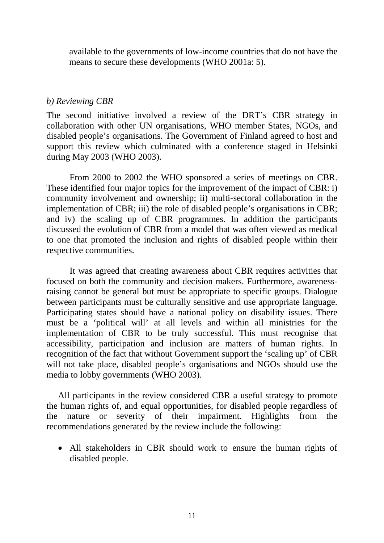available to the governments of low-income countries that do not have the means to secure these developments (WHO 2001a: 5).

#### *b) Reviewing CBR*

The second initiative involved a review of the DRT's CBR strategy in collaboration with other UN organisations, WHO member States, NGOs, and disabled people's organisations. The Government of Finland agreed to host and support this review which culminated with a conference staged in Helsinki during May 2003 (WHO 2003).

From 2000 to 2002 the WHO sponsored a series of meetings on CBR. These identified four major topics for the improvement of the impact of CBR: i) community involvement and ownership; ii) multi-sectoral collaboration in the implementation of CBR; iii) the role of disabled people's organisations in CBR; and iv) the scaling up of CBR programmes. In addition the participants discussed the evolution of CBR from a model that was often viewed as medical to one that promoted the inclusion and rights of disabled people within their respective communities.

It was agreed that creating awareness about CBR requires activities that focused on both the community and decision makers. Furthermore, awarenessraising cannot be general but must be appropriate to specific groups. Dialogue between participants must be culturally sensitive and use appropriate language. Participating states should have a national policy on disability issues. There must be a 'political will' at all levels and within all ministries for the implementation of CBR to be truly successful. This must recognise that accessibility, participation and inclusion are matters of human rights. In recognition of the fact that without Government support the 'scaling up' of CBR will not take place, disabled people's organisations and NGOs should use the media to lobby governments (WHO 2003).

All participants in the review considered CBR a useful strategy to promote the human rights of, and equal opportunities, for disabled people regardless of the nature or severity of their impairment. Highlights from the recommendations generated by the review include the following:

• All stakeholders in CBR should work to ensure the human rights of disabled people.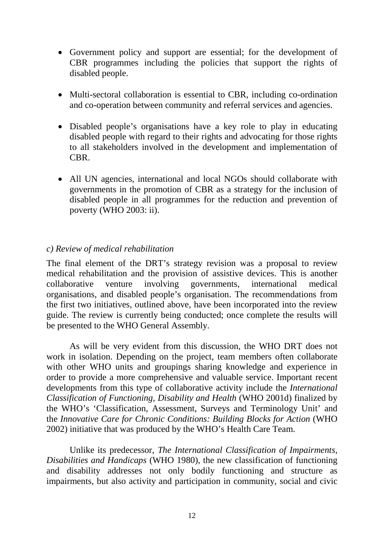- Government policy and support are essential; for the development of CBR programmes including the policies that support the rights of disabled people.
- Multi-sectoral collaboration is essential to CBR, including co-ordination and co-operation between community and referral services and agencies.
- Disabled people's organisations have a key role to play in educating disabled people with regard to their rights and advocating for those rights to all stakeholders involved in the development and implementation of CBR.
- All UN agencies, international and local NGOs should collaborate with governments in the promotion of CBR as a strategy for the inclusion of disabled people in all programmes for the reduction and prevention of poverty (WHO 2003: ii).

## *c) Review of medical rehabilitation*

The final element of the DRT's strategy revision was a proposal to review medical rehabilitation and the provision of assistive devices. This is another collaborative venture involving governments, international medical organisations, and disabled people's organisation. The recommendations from the first two initiatives, outlined above, have been incorporated into the review guide. The review is currently being conducted; once complete the results will be presented to the WHO General Assembly.

As will be very evident from this discussion, the WHO DRT does not work in isolation. Depending on the project, team members often collaborate with other WHO units and groupings sharing knowledge and experience in order to provide a more comprehensive and valuable service. Important recent developments from this type of collaborative activity include the *International Classification of Functioning, Disability and Health* (WHO 2001d) finalized by the WHO's 'Classification, Assessment, Surveys and Terminology Unit' and the *Innovative Care for Chronic Conditions: Building Blocks for Action* (WHO 2002) initiative that was produced by the WHO's Health Care Team.

Unlike its predecessor, *The International Classification of Impairments, Disabilities and Handicaps* (WHO 1980), the new classification of functioning and disability addresses not only bodily functioning and structure as impairments, but also activity and participation in community, social and civic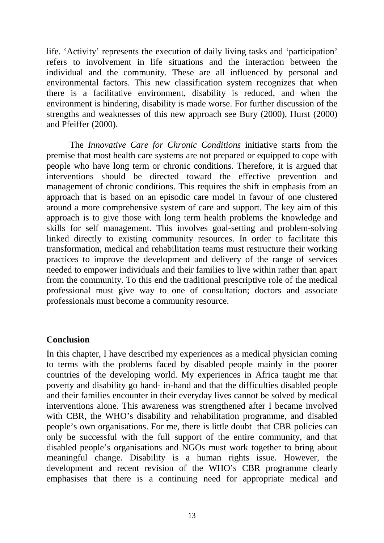life. 'Activity' represents the execution of daily living tasks and 'participation' refers to involvement in life situations and the interaction between the individual and the community. These are all influenced by personal and environmental factors. This new classification system recognizes that when there is a facilitative environment, disability is reduced, and when the environment is hindering, disability is made worse. For further discussion of the strengths and weaknesses of this new approach see Bury (2000), Hurst (2000) and Pfeiffer (2000).

The *Innovative Care for Chronic Conditions* initiative starts from the premise that most health care systems are not prepared or equipped to cope with people who have long term or chronic conditions. Therefore, it is argued that interventions should be directed toward the effective prevention and management of chronic conditions. This requires the shift in emphasis from an approach that is based on an episodic care model in favour of one clustered around a more comprehensive system of care and support. The key aim of this approach is to give those with long term health problems the knowledge and skills for self management. This involves goal-setting and problem-solving linked directly to existing community resources. In order to facilitate this transformation, medical and rehabilitation teams must restructure their working practices to improve the development and delivery of the range of services needed to empower individuals and their families to live within rather than apart from the community. To this end the traditional prescriptive role of the medical professional must give way to one of consultation; doctors and associate professionals must become a community resource.

## **Conclusion**

In this chapter, I have described my experiences as a medical physician coming to terms with the problems faced by disabled people mainly in the poorer countries of the developing world. My experiences in Africa taught me that poverty and disability go hand- in-hand and that the difficulties disabled people and their families encounter in their everyday lives cannot be solved by medical interventions alone. This awareness was strengthened after I became involved with CBR, the WHO's disability and rehabilitation programme, and disabled people's own organisations. For me, there is little doubt that CBR policies can only be successful with the full support of the entire community, and that disabled people's organisations and NGOs must work together to bring about meaningful change. Disability is a human rights issue. However, the development and recent revision of the WHO's CBR programme clearly emphasises that there is a continuing need for appropriate medical and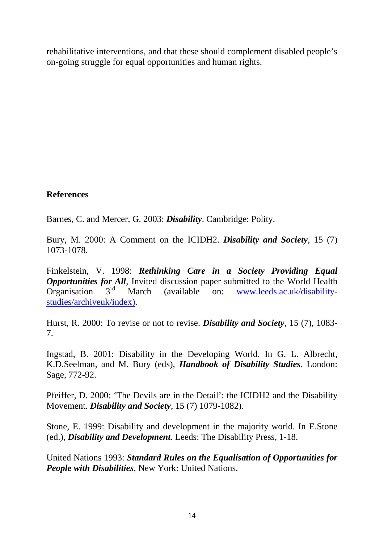rehabilitative interventions, and that these should complement disabled people's on-going struggle for equal opportunities and human rights.

## **References**

Barnes, C. and Mercer, G. 2003: *Disability*. Cambridge: Polity.

Bury, M. 2000: A Comment on the ICIDH2. *Disability and Society*, 15 (7) 1073-1078.

Finkelstein, V. 1998: *Rethinking Care in a Society Providing Equal Opportunities for All*, Invited discussion paper submitted to the World Health Organisation  $3<sup>rd</sup>$  March (available on: www.leeds.ac.uk/disabilitystudies/archiveuk/index).

Hurst, R. 2000: To revise or not to revise. *Disability and Society*, 15 (7), 1083- 7.

Ingstad, B. 2001: Disability in the Developing World. In G. L. Albrecht, K.D.Seelman, and M. Bury (eds), *Handbook of Disability Studies*. London: Sage, 772-92.

Pfeiffer, D. 2000: 'The Devils are in the Detail': the ICIDH2 and the Disability Movement. *Disability and Society*, 15 (7) 1079-1082).

Stone, E. 1999: Disability and development in the majority world. In E.Stone (ed.), *Disability and Development*. Leeds: The Disability Press, 1-18.

United Nations 1993: *Standard Rules on the Equalisation of Opportunities for People with Disabilities*, New York: United Nations.